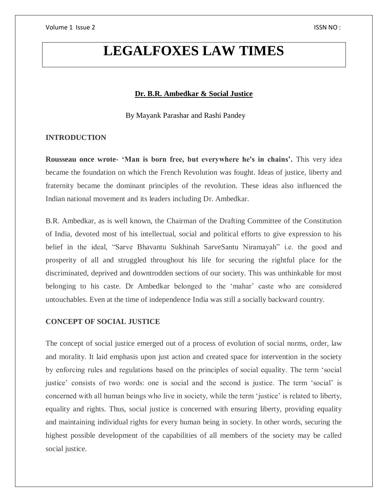# **LEGALFOXES LAW TIMES**

## **Dr. B.R. Ambedkar & Social Justice**

By Mayank Parashar and Rashi Pandey

# **INTRODUCTION**

**Rousseau once wrote- 'Man is born free, but everywhere he's in chains'.** This very idea became the foundation on which the French Revolution was fought. Ideas of justice, liberty and fraternity became the dominant principles of the revolution. These ideas also influenced the Indian national movement and its leaders including Dr. Ambedkar.

B.R. Ambedkar, as is well known, the Chairman of the Drafting Committee of the Constitution of India, devoted most of his intellectual, social and political efforts to give expression to his belief in the ideal, "Sarve Bhavantu Sukhinah SarveSantu Niramayah" i.e. the good and prosperity of all and struggled throughout his life for securing the rightful place for the discriminated, deprived and downtrodden sections of our society. This was unthinkable for most belonging to his caste. Dr Ambedkar belonged to the 'mahar' caste who are considered untouchables. Even at the time of independence India was still a socially backward country.

### **CONCEPT OF SOCIAL JUSTICE**

The concept of social justice emerged out of a process of evolution of social norms, order, law and morality. It laid emphasis upon just action and created space for intervention in the society by enforcing rules and regulations based on the principles of social equality. The term 'social justice' consists of two words: one is social and the second is justice. The term 'social' is concerned with all human beings who live in society, while the term 'justice' is related to liberty, equality and rights. Thus, social justice is concerned with ensuring liberty, providing equality and maintaining individual rights for every human being in society. In other words, securing the highest possible development of the capabilities of all members of the society may be called social justice.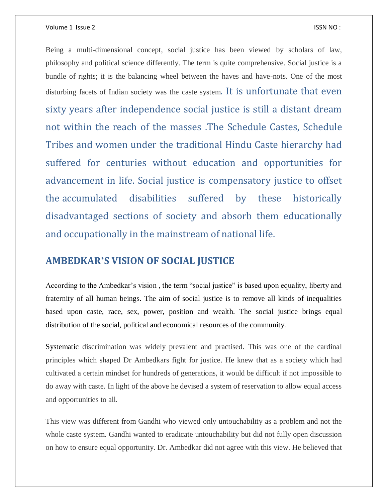### Volume 1 Issue 2 ISSN NO :

Being a multi-dimensional concept, social justice has been viewed by scholars of law, philosophy and political science differently. The term is quite comprehensive. Social justice is a bundle of rights; it is the balancing wheel between the haves and have-nots. One of the most disturbing facets of Indian society was the caste system. It is unfortunate that even sixty years after independence social justice is still a distant dream not within the reach of the masses .The Schedule Castes, Schedule Tribes and women under the traditional Hindu Caste hierarchy had suffered for centuries without education and opportunities for advancement in life. Social justice is compensatory justice to offset the accumulated disabilities suffered by these historically disadvantaged sections of society and absorb them educationally and occupationally in the mainstream of national life.

# **AMBEDKAR'S VISION OF SOCIAL JUSTICE**

According to the Ambedkar's vision , the term "social justice" is based upon equality, liberty and fraternity of all human beings. The aim of social justice is to remove all kinds of inequalities based upon caste, race, sex, power, position and wealth. The social justice brings equal distribution of the social, political and economical resources of the community.

Systematic discrimination was widely prevalent and practised. This was one of the cardinal principles which shaped Dr Ambedkars fight for justice. He knew that as a society which had cultivated a certain mindset for hundreds of generations, it would be difficult if not impossible to do away with caste. In light of the above he devised a system of reservation to allow equal access and opportunities to all.

This view was different from Gandhi who viewed only untouchability as a problem and not the whole caste system. Gandhi wanted to eradicate untouchability but did not fully open discussion on how to ensure equal opportunity. Dr. Ambedkar did not agree with this view. He believed that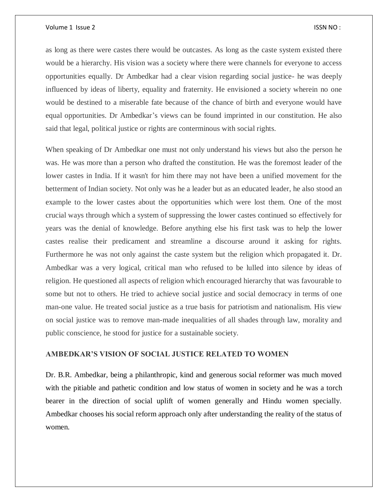#### Volume 1 Issue 2 ISSN NO :

as long as there were castes there would be outcastes. As long as the caste system existed there would be a hierarchy. His vision was a society where there were channels for everyone to access opportunities equally. Dr Ambedkar had a clear vision regarding social justice- he was deeply influenced by ideas of liberty, equality and fraternity. He envisioned a society wherein no one would be destined to a miserable fate because of the chance of birth and everyone would have equal opportunities. Dr Ambedkar's views can be found imprinted in our constitution. He also said that legal, political justice or rights are conterminous with social rights.

When speaking of Dr Ambedkar one must not only understand his views but also the person he was. He was more than a person who drafted the constitution. He was the foremost leader of the lower castes in India. If it wasn't for him there may not have been a unified movement for the betterment of Indian society. Not only was he a leader but as an educated leader, he also stood an example to the lower castes about the opportunities which were lost them. One of the most crucial ways through which a system of suppressing the lower castes continued so effectively for years was the denial of knowledge. Before anything else his first task was to help the lower castes realise their predicament and streamline a discourse around it asking for rights. Furthermore he was not only against the caste system but the religion which propagated it. Dr. Ambedkar was a very logical, critical man who refused to be lulled into silence by ideas of religion. He questioned all aspects of religion which encouraged hierarchy that was favourable to some but not to others. He tried to achieve social justice and social democracy in terms of one man-one value. He treated social justice as a true basis for patriotism and nationalism. His view on social justice was to remove man-made inequalities of all shades through law, morality and public conscience, he stood for justice for a sustainable society.

### **AMBEDKAR'S VISION OF SOCIAL JUSTICE RELATED TO WOMEN**

Dr. B.R. Ambedkar, being a philanthropic, kind and generous social reformer was much moved with the pitiable and pathetic condition and low status of women in society and he was a torch bearer in the direction of social uplift of women generally and Hindu women specially. Ambedkar chooses his social reform approach only after understanding the reality of the status of women.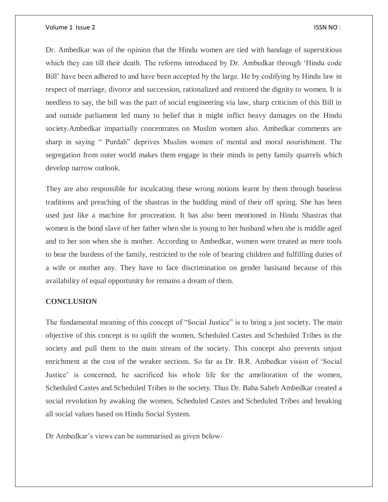### Volume 1 Issue 2 ISSN NO :

Dr. Ambedkar was of the opinion that the Hindu women are tied with bandage of superstitious which they can till their death. The reforms introduced by Dr. Ambedkar through 'Hindu code Bill' have been adhered to and have been accepted by the large. He by codifying by Hindu law in respect of marriage, divorce and succession, rationalized and restored the dignity to women. It is needless to say, the bill was the part of social engineering via law, sharp criticism of this Bill in and outside parliament led many to belief that it might inflict heavy damages on the Hindu society.Ambedkar impartially concentrates on Muslim women also. Ambedkar comments are sharp in saying " Purdah" deprives Muslim women of mental and moral nourishment. The segregation from outer world makes them engage in their minds in petty family quarrels which develop narrow outlook.

They are also responsible for inculcating these wrong notions learnt by them through baseless traditions and preaching of the shastras in the budding mind of their off spring. She has been used just like a machine for procreation. It has also been mentioned in Hindu Shastras that women is the bond slave of her father when she is young to her husband when she is middle aged and to her son when she is mother. According to Ambedkar, women were treated as mere tools to bear the burdens of the family, restricted to the role of bearing children and fulfilling duties of a wife or mother any. They have to face discrimination on gender basisand because of this availability of equal opportunity for remains a dream of them.

### **CONCLUSION**

The fundamental meaning of this concept of "Social Justice" is to bring a just society. The main objective of this concept is to uplift the women, Scheduled Castes and Scheduled Tribes in the society and pull them to the main stream of the society. This concept also prevents unjust enrichment at the cost of the weaker sections. So far as Dr. B.R. Ambedkar vision of 'Social Justice' is concerned, he sacrificed his whole life for the amelioration of the women, Scheduled Castes and Scheduled Tribes in the society. Thus Dr. Baba Saheb Ambedkar created a social revolution by awaking the women, Scheduled Castes and Scheduled Tribes and breaking all social values based on Hindu Social System.

Dr Ambedkar's views can be summarised as given below-